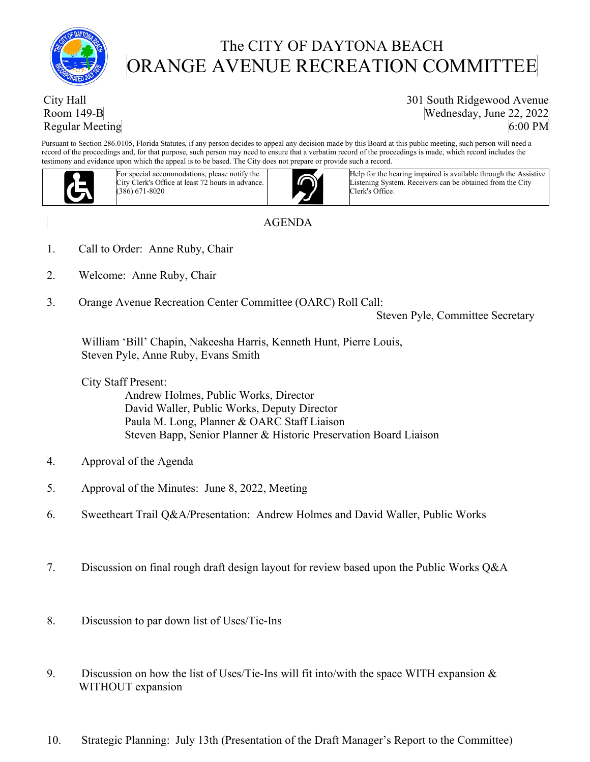

## The CITY OF DAYTONA BEACH ORANGE AVENUE RECREATION COMMITTEE

## City Hall Room 149-B Regular Meeting

301 South Ridgewood Avenue Wednesday, June 22, 2022 6:00 PM

Pursuant to Section 286.0105, Florida Statutes, if any person decides to appeal any decision made by this Board at this public meeting, such person will need a record of the proceedings and, for that purpose, such person may need to ensure that a verbatim record of the proceedings is made, which record includes the testimony and evidence upon which the appeal is to be based. The City does not prepare or provide such a record.  $U$  of accommodation information information information information information  $U$ 



For special accommodations, please notify the City Clerk's Office at least 72 hours in advance. (386) 671-8020



Help for the hearing impaired is available through the Assistive Listening System. Receivers can be obtained from the City Clerk's Office.

## AGENDA

- 1. Call to Order: Anne Ruby, Chair
- 2. Welcome: Anne Ruby, Chair
- 3. Orange Avenue Recreation Center Committee (OARC) Roll Call:

Steven Pyle, Committee Secretary

 William 'Bill' Chapin, Nakeesha Harris, Kenneth Hunt, Pierre Louis, Steven Pyle, Anne Ruby, Evans Smith

City Staff Present:

 Andrew Holmes, Public Works, Director David Waller, Public Works, Deputy Director Paula M. Long, Planner & OARC Staff Liaison Steven Bapp, Senior Planner & Historic Preservation Board Liaison

- 4. Approval of the Agenda
- 5. Approval of the Minutes: June 8, 2022, Meeting
- 6. Sweetheart Trail Q&A/Presentation: Andrew Holmes and David Waller, Public Works
- 7. Discussion on final rough draft design layout for review based upon the Public Works Q&A
- 8. Discussion to par down list of Uses/Tie-Ins
- 9. Discussion on how the list of Uses/Tie-Ins will fit into/with the space WITH expansion & WITHOUT expansion
- 10. Strategic Planning: July 13th (Presentation of the Draft Manager's Report to the Committee)